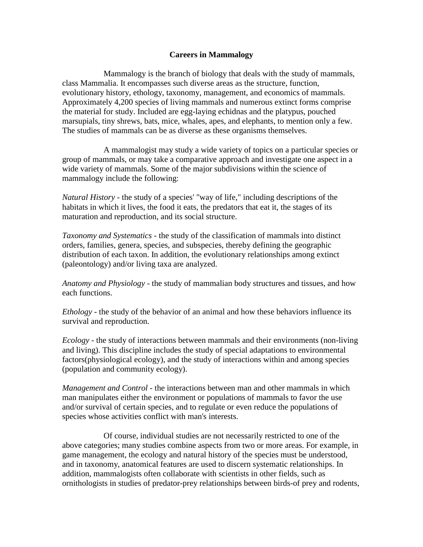# **Careers in Mammalogy**

 Mammalogy is the branch of biology that deals with the study of mammals, class Mammalia. It encompasses such diverse areas as the structure, function, evolutionary history, ethology, taxonomy, management, and economics of mammals. Approximately 4,200 species of living mammals and numerous extinct forms comprise the material for study. Included are egg-laying echidnas and the platypus, pouched marsupials, tiny shrews, bats, mice, whales, apes, and elephants, to mention only a few. The studies of mammals can be as diverse as these organisms themselves.

 A mammalogist may study a wide variety of topics on a particular species or group of mammals, or may take a comparative approach and investigate one aspect in a wide variety of mammals. Some of the major subdivisions within the science of mammalogy include the following:

*Natural History* - the study of a species' "way of life," including descriptions of the habitats in which it lives, the food it eats, the predators that eat it, the stages of its maturation and reproduction, and its social structure.

*Taxonomy and Systematics* - the study of the classification of mammals into distinct orders, families, genera, species, and subspecies, thereby defining the geographic distribution of each taxon. In addition, the evolutionary relationships among extinct (paleontology) and/or living taxa are analyzed.

*Anatomy and Physiology* - the study of mammalian body structures and tissues, and how each functions.

*Ethology* - the study of the behavior of an animal and how these behaviors influence its survival and reproduction.

*Ecology* - the study of interactions between mammals and their environments (non-living and living). This discipline includes the study of special adaptations to environmental factors(physiological ecology), and the study of interactions within and among species (population and community ecology).

*Management and Control* - the interactions between man and other mammals in which man manipulates either the environment or populations of mammals to favor the use and/or survival of certain species, and to regulate or even reduce the populations of species whose activities conflict with man's interests.

 Of course, individual studies are not necessarily restricted to one of the above categories; many studies combine aspects from two or more areas. For example, in game management, the ecology and natural history of the species must be understood, and in taxonomy, anatomical features are used to discern systematic relationships. In addition, mammalogists often collaborate with scientists in other fields, such as ornithologists in studies of predator-prey relationships between birds-of prey and rodents,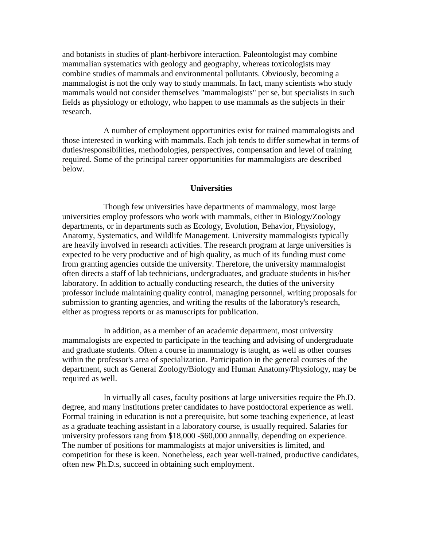and botanists in studies of plant-herbivore interaction. Paleontologist may combine mammalian systematics with geology and geography, whereas toxicologists may combine studies of mammals and environmental pollutants. Obviously, becoming a mammalogist is not the only way to study mammals. In fact, many scientists who study mammals would not consider themselves "mammalogists" per se, but specialists in such fields as physiology or ethology, who happen to use mammals as the subjects in their research.

 A number of employment opportunities exist for trained mammalogists and those interested in working with mammals. Each job tends to differ somewhat in terms of duties/responsibilities, methodologies, perspectives, compensation and level of training required. Some of the principal career opportunities for mammalogists are described below.

## **Universities**

 Though few universities have departments of mammalogy, most large universities employ professors who work with mammals, either in Biology/Zoology departments, or in departments such as Ecology, Evolution, Behavior, Physiology, Anatomy, Systematics, and Wildlife Management. University mammalogists typically are heavily involved in research activities. The research program at large universities is expected to be very productive and of high quality, as much of its funding must come from granting agencies outside the university. Therefore, the university mammalogist often directs a staff of lab technicians, undergraduates, and graduate students in his/her laboratory. In addition to actually conducting research, the duties of the university professor include maintaining quality control, managing personnel, writing proposals for submission to granting agencies, and writing the results of the laboratory's research, either as progress reports or as manuscripts for publication.

 In addition, as a member of an academic department, most university mammalogists are expected to participate in the teaching and advising of undergraduate and graduate students. Often a course in mammalogy is taught, as well as other courses within the professor's area of specialization. Participation in the general courses of the department, such as General Zoology/Biology and Human Anatomy/Physiology, may be required as well.

 In virtually all cases, faculty positions at large universities require the Ph.D. degree, and many institutions prefer candidates to have postdoctoral experience as well. Formal training in education is not a prerequisite, but some teaching experience, at least as a graduate teaching assistant in a laboratory course, is usually required. Salaries for university professors rang from \$18,000 -\$60,000 annually, depending on experience. The number of positions for mammalogists at major universities is limited, and competition for these is keen. Nonetheless, each year well-trained, productive candidates, often new Ph.D.s, succeed in obtaining such employment.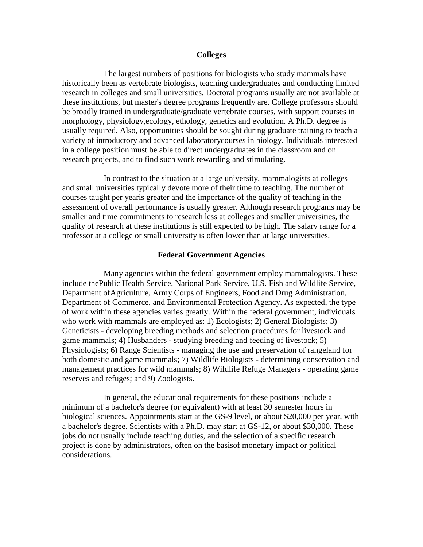### **Colleges**

 The largest numbers of positions for biologists who study mammals have historically been as vertebrate biologists, teaching undergraduates and conducting limited research in colleges and small universities. Doctoral programs usually are not available at these institutions, but master's degree programs frequently are. College professors should be broadly trained in undergraduate/graduate vertebrate courses, with support courses in morphology, physiology,ecology, ethology, genetics and evolution. A Ph.D. degree is usually required. Also, opportunities should be sought during graduate training to teach a variety of introductory and advanced laboratorycourses in biology. Individuals interested in a college position must be able to direct undergraduates in the classroom and on research projects, and to find such work rewarding and stimulating.

 In contrast to the situation at a large university, mammalogists at colleges and small universities typically devote more of their time to teaching. The number of courses taught per yearis greater and the importance of the quality of teaching in the assessment of overall performance is usually greater. Although research programs may be smaller and time commitments to research less at colleges and smaller universities, the quality of research at these institutions is still expected to be high. The salary range for a professor at a college or small university is often lower than at large universities.

## **Federal Government Agencies**

 Many agencies within the federal government employ mammalogists. These include thePublic Health Service, National Park Service, U.S. Fish and Wildlife Service, Department ofAgriculture, Army Corps of Engineers, Food and Drug Administration, Department of Commerce, and Environmental Protection Agency. As expected, the type of work within these agencies varies greatly. Within the federal government, individuals who work with mammals are employed as: 1) Ecologists; 2) General Biologists; 3) Geneticists - developing breeding methods and selection procedures for livestock and game mammals; 4) Husbanders - studying breeding and feeding of livestock; 5) Physiologists; 6) Range Scientists - managing the use and preservation of rangeland for both domestic and game mammals; 7) Wildlife Biologists - determining conservation and management practices for wild mammals; 8) Wildlife Refuge Managers - operating game reserves and refuges; and 9) Zoologists.

 In general, the educational requirements for these positions include a minimum of a bachelor's degree (or equivalent) with at least 30 semester hours in biological sciences. Appointments start at the GS-9 level, or about \$20,000 per year, with a bachelor's degree. Scientists with a Ph.D. may start at GS-12, or about \$30,000. These jobs do not usually include teaching duties, and the selection of a specific research project is done by administrators, often on the basisof monetary impact or political considerations.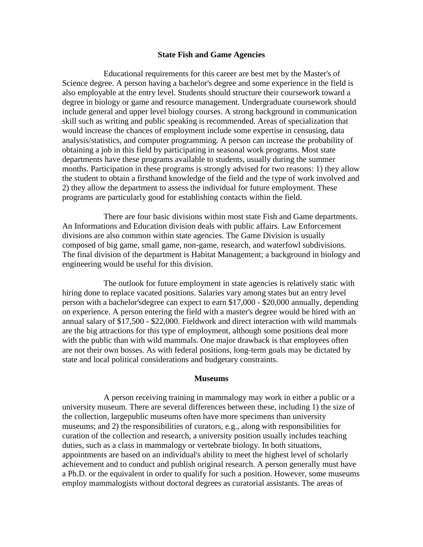### **State Fish and Game Agencies**

 Educational requirements for this career are best met by the Master's of Science degree. A person having a bachelor's degree and some experience in the field is also employable at the entry level. Students should structure their coursework toward a degree in biology or game and resource management. Undergraduate coursework should include general and upper level biology courses. A strong background in communication skill such as writing and public speaking is recommended. Areas of specialization that would increase the chances of employment include some expertise in censusing, data analysis/statistics, and computer programming. A person can increase the probability of obtaining a job in this field by participating in seasonal work programs. Most state departments have these programs available to students, usually during the summer months. Participation in these programs is strongly advised for two reasons: 1) they allow the student to obtain a firsthand knowledge of the field and the type of work involved and 2) they allow the department to assess the individual for future employment. These programs are particularly good for establishing contacts within the field.

 There are four basic divisions within most state Fish and Game departments. An Informations and Education division deals with public affairs. Law Enforcement divisions are also common within state agencies. The Game Division is usually composed of big game, small game, non-game, research, and waterfowl subdivisions. The final division of the department is Habitat Management; a background in biology and engineering would be useful for this division.

 The outlook for future employment in state agencies is relatively static with hiring done to replace vacated positions. Salaries vary among states but an entry level person with a bachelor'sdegree can expect to earn \$17,000 - \$20,000 annually, depending on experience. A person entering the field with a master's degree would be hired with an annual salary of \$17,500 - \$22,000. Fieldwork and direct interaction with wild mammals are the big attractions for this type of employment, although some positions deal more with the public than with wild mammals. One major drawback is that employees often are not their own bosses. As with federal positions, long-term goals may be dictated by state and local political considerations and budgetary constraints.

#### **Museums**

 A person receiving training in mammalogy may work in either a public or a university museum. There are several differences between these, including 1) the size of the collection, largepublic museums often have more specimens than university museums; and 2) the responsibilities of curators, e.g., along with responsibilities for curation of the collection and research, a university position usually includes teaching duties, such as a class in mammalogy or vertebrate biology. In both situations, appointments are based on an individual's ability to meet the highest level of scholarly achievement and to conduct and publish original research. A person generally must have a Ph.D. or the equivalent in order to qualify for such a position. However, some museums employ mammalogists without doctoral degrees as curatorial assistants. The areas of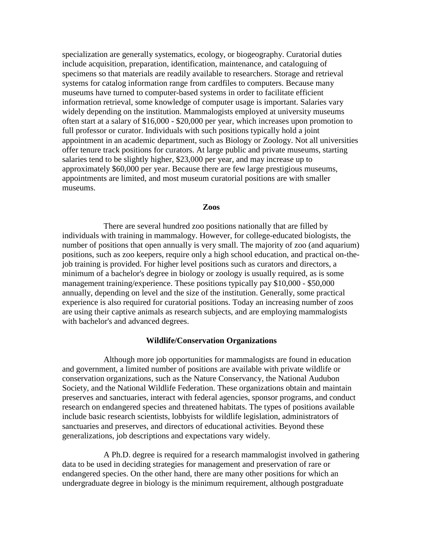specialization are generally systematics, ecology, or biogeography. Curatorial duties include acquisition, preparation, identification, maintenance, and cataloguing of specimens so that materials are readily available to researchers. Storage and retrieval systems for catalog information range from cardfiles to computers. Because many museums have turned to computer-based systems in order to facilitate efficient information retrieval, some knowledge of computer usage is important. Salaries vary widely depending on the institution. Mammalogists employed at university museums often start at a salary of \$16,000 - \$20,000 per year, which increases upon promotion to full professor or curator. Individuals with such positions typically hold a joint appointment in an academic department, such as Biology or Zoology. Not all universities offer tenure track positions for curators. At large public and private museums, starting salaries tend to be slightly higher, \$23,000 per year, and may increase up to approximately \$60,000 per year. Because there are few large prestigious museums, appointments are limited, and most museum curatorial positions are with smaller museums.

### **Zoos**

 There are several hundred zoo positions nationally that are filled by individuals with training in mammalogy. However, for college-educated biologists, the number of positions that open annually is very small. The majority of zoo (and aquarium) positions, such as zoo keepers, require only a high school education, and practical on-thejob training is provided. For higher level positions such as curators and directors, a minimum of a bachelor's degree in biology or zoology is usually required, as is some management training/experience. These positions typically pay \$10,000 - \$50,000 annually, depending on level and the size of the institution. Generally, some practical experience is also required for curatorial positions. Today an increasing number of zoos are using their captive animals as research subjects, and are employing mammalogists with bachelor's and advanced degrees.

#### **Wildlife/Conservation Organizations**

 Although more job opportunities for mammalogists are found in education and government, a limited number of positions are available with private wildlife or conservation organizations, such as the Nature Conservancy, the National Audubon Society, and the National Wildlife Federation. These organizations obtain and maintain preserves and sanctuaries, interact with federal agencies, sponsor programs, and conduct research on endangered species and threatened habitats. The types of positions available include basic research scientists, lobbyists for wildlife legislation, administrators of sanctuaries and preserves, and directors of educational activities. Beyond these generalizations, job descriptions and expectations vary widely.

 A Ph.D. degree is required for a research mammalogist involved in gathering data to be used in deciding strategies for management and preservation of rare or endangered species. On the other hand, there are many other positions for which an undergraduate degree in biology is the minimum requirement, although postgraduate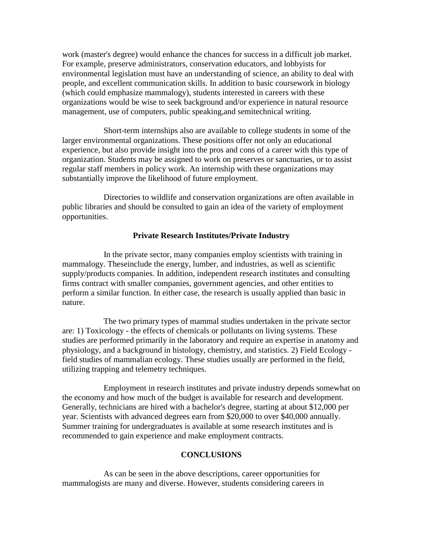work (master's degree) would enhance the chances for success in a difficult job market. For example, preserve administrators, conservation educators, and lobbyists for environmental legislation must have an understanding of science, an ability to deal with people, and excellent communication skills. In addition to basic coursework in biology (which could emphasize mammalogy), students interested in careers with these organizations would be wise to seek background and/or experience in natural resource management, use of computers, public speaking,and semitechnical writing.

 Short-term internships also are available to college students in some of the larger environmental organizations. These positions offer not only an educational experience, but also provide insight into the pros and cons of a career with this type of organization. Students may be assigned to work on preserves or sanctuaries, or to assist regular staff members in policy work. An internship with these organizations may substantially improve the likelihood of future employment.

 Directories to wildlife and conservation organizations are often available in public libraries and should be consulted to gain an idea of the variety of employment opportunities.

## **Private Research Institutes/Private Industry**

 In the private sector, many companies employ scientists with training in mammalogy. Theseinclude the energy, lumber, and industries, as well as scientific supply/products companies. In addition, independent research institutes and consulting firms contract with smaller companies, government agencies, and other entities to perform a similar function. In either case, the research is usually applied than basic in nature.

 The two primary types of mammal studies undertaken in the private sector are: 1) Toxicology - the effects of chemicals or pollutants on living systems. These studies are performed primarily in the laboratory and require an expertise in anatomy and physiology, and a background in histology, chemistry, and statistics. 2) Field Ecology field studies of mammalian ecology. These studies usually are performed in the field, utilizing trapping and telemetry techniques.

 Employment in research institutes and private industry depends somewhat on the economy and how much of the budget is available for research and development. Generally, technicians are hired with a bachelor's degree, starting at about \$12,000 per year. Scientists with advanced degrees earn from \$20,000 to over \$40,000 annually. Summer training for undergraduates is available at some research institutes and is recommended to gain experience and make employment contracts.

## **CONCLUSIONS**

 As can be seen in the above descriptions, career opportunities for mammalogists are many and diverse. However, students considering careers in